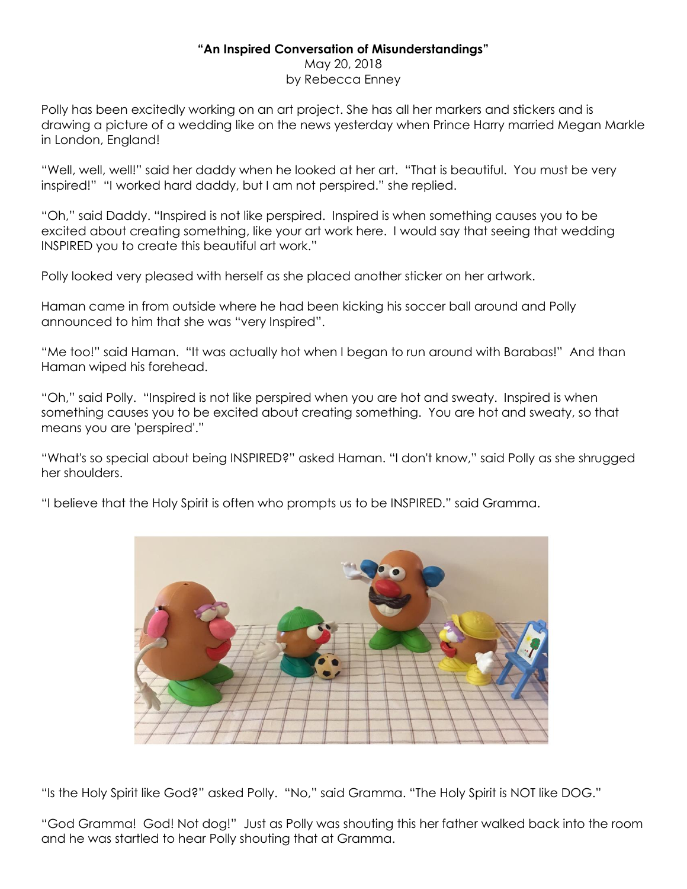## **"An Inspired Conversation of Misunderstandings"**

May 20, 2018 by Rebecca Enney

Polly has been excitedly working on an art project. She has all her markers and stickers and is drawing a picture of a wedding like on the news yesterday when Prince Harry married Megan Markle in London, England!

"Well, well, well!" said her daddy when he looked at her art. "That is beautiful. You must be very inspired!" "I worked hard daddy, but I am not perspired." she replied.

"Oh," said Daddy. "Inspired is not like perspired. Inspired is when something causes you to be excited about creating something, like your art work here. I would say that seeing that wedding INSPIRED you to create this beautiful art work."

Polly looked very pleased with herself as she placed another sticker on her artwork.

Haman came in from outside where he had been kicking his soccer ball around and Polly announced to him that she was "very Inspired".

"Me too!" said Haman. "It was actually hot when I began to run around with Barabas!" And than Haman wiped his forehead.

"Oh," said Polly. "Inspired is not like perspired when you are hot and sweaty. Inspired is when something causes you to be excited about creating something. You are hot and sweaty, so that means you are 'perspired'."

"What's so special about being INSPIRED?" asked Haman. "I don't know," said Polly as she shrugged her shoulders.

"I believe that the Holy Spirit is often who prompts us to be INSPIRED." said Gramma.



"Is the Holy Spirit like God?" asked Polly. "No," said Gramma. "The Holy Spirit is NOT like DOG."

"God Gramma! God! Not dog!" Just as Polly was shouting this her father walked back into the room and he was startled to hear Polly shouting that at Gramma.